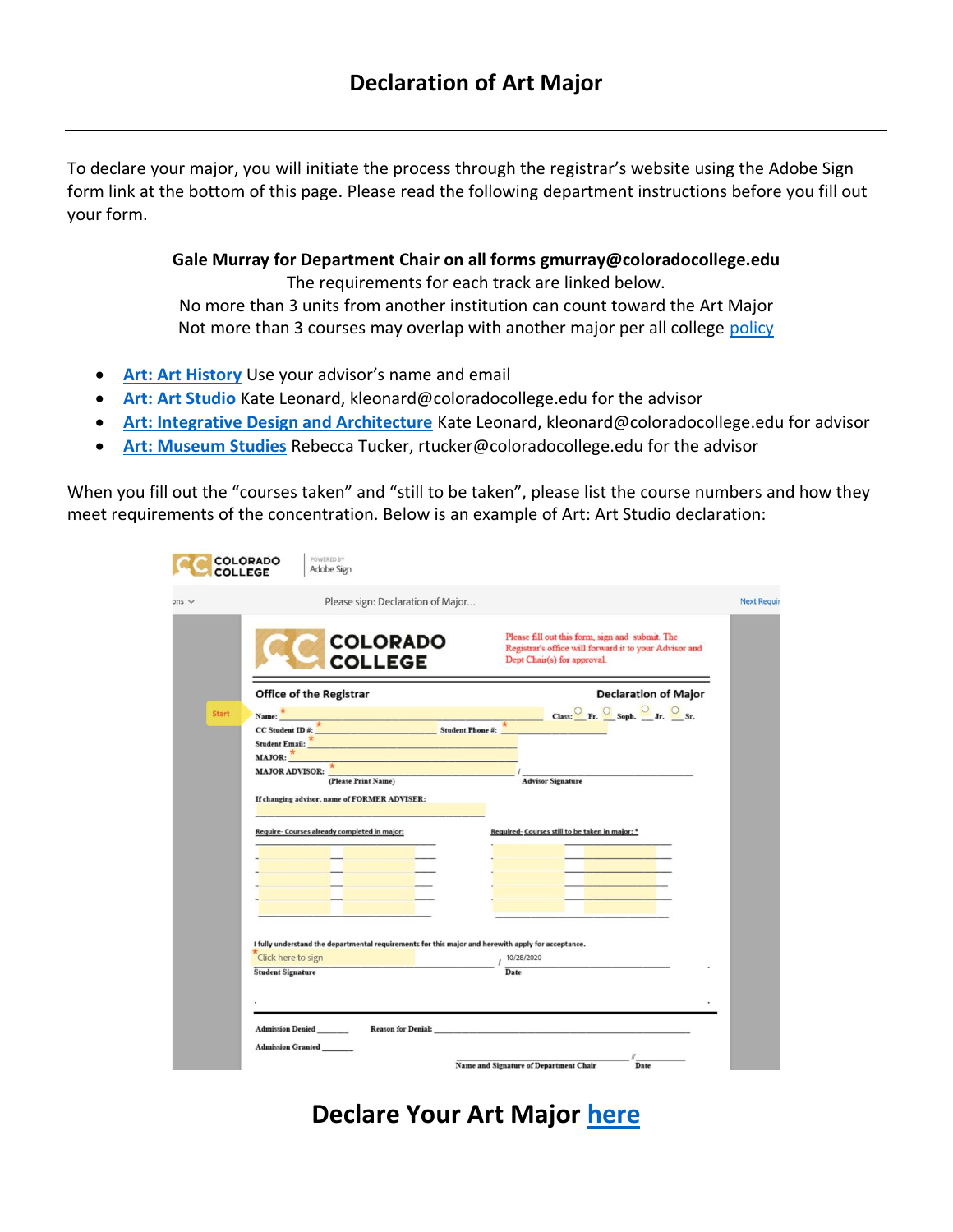To declare your major, you will initiate the process through the registrar's website using the Adobe Sign form link at the bottom of this page. Please read the following department instructions before you fill out your form.

> **Gale Murray for Department Chair on all forms gmurray@coloradocollege.edu** The requirements for each track are linked below. No more than 3 units from another institution can count toward the Art Major Not more than 3 courses may overlap with another major per all college [policy](https://www.coloradocollege.edu/basics/welcome/leadership/policies/majors-minors-policy)

- **[Art: Art History](https://www.coloradocollege.edu/academics/dept/art/requirements/concentrations/art-history/ahmajor.html)** Use your advisor's name and email
- **[Art: Art Studio](https://www.coloradocollege.edu/academics/dept/art/requirements/concentrations/art-studio.html)** Kate Leonard, kleonard@coloradocollege.edu for the advisor
- **[Art: Integrative Design and Architecture](https://www.coloradocollege.edu/academics/dept/art/requirements/concentrations/ida.html)** Kate Leonard, kleonard@coloradocollege.edu for advisor
- **[Art: Museum Studies](https://www.coloradocollege.edu/academics/dept/art/requirements/concentrations/museum-studies.html)** Rebecca Tucker, rtucker@coloradocollege.edu for the advisor

When you fill out the "courses taken" and "still to be taken", please list the course numbers and how they meet requirements of the concentration. Below is an example of Art: Art Studio declaration:

|              |                                                                                                                                                                                                                                          |                                   |            |                                                                                                                                               | <b>Next Requir</b> |
|--------------|------------------------------------------------------------------------------------------------------------------------------------------------------------------------------------------------------------------------------------------|-----------------------------------|------------|-----------------------------------------------------------------------------------------------------------------------------------------------|--------------------|
|              | Please sign: Declaration of Major                                                                                                                                                                                                        |                                   |            |                                                                                                                                               |                    |
|              |                                                                                                                                                                                                                                          | <b>COLORADO</b><br><b>COLLEGE</b> |            | Please fill out this form, sign and submit. The<br>Registrar's office will forward it to your Advisor and<br>Dept Chair(s) for approval.      |                    |
|              | <b>Office of the Registrar</b>                                                                                                                                                                                                           |                                   |            | <b>Declaration of Major</b>                                                                                                                   |                    |
| <b>Start</b> |                                                                                                                                                                                                                                          |                                   |            | Name: $\frac{\star}{\star}$ Class: C Fr. Soph. I. Student ID #: $\frac{\star}{\star}$ Class: Fr. Soph. I. Student ID #: $\frac{\star}{\star}$ |                    |
|              |                                                                                                                                                                                                                                          |                                   |            |                                                                                                                                               |                    |
|              | Student Email: All and the Community of the Community of the Community of the Community of the Community of the Community of the Community of the Community of the Community of the Community of the Community of the Communit<br>MAJOR: |                                   |            |                                                                                                                                               |                    |
|              | MAJOR ADVISOR: $\frac{*}{\text{(Please Print Name)}}$ / $\frac{1}{\text{Advisor Signature}}$                                                                                                                                             |                                   |            |                                                                                                                                               |                    |
|              |                                                                                                                                                                                                                                          |                                   |            |                                                                                                                                               |                    |
|              | If changing advisor, name of FORMER ADVISER:                                                                                                                                                                                             |                                   |            |                                                                                                                                               |                    |
|              |                                                                                                                                                                                                                                          |                                   |            |                                                                                                                                               |                    |
|              | Require- Courses already completed in major:                                                                                                                                                                                             |                                   |            | Required-Courses still to be taken in major: *                                                                                                |                    |
|              |                                                                                                                                                                                                                                          |                                   |            |                                                                                                                                               |                    |
|              |                                                                                                                                                                                                                                          |                                   |            |                                                                                                                                               |                    |
|              | <u> 1989 - Jan Barnett, amerikansk politiker (</u>                                                                                                                                                                                       |                                   |            |                                                                                                                                               |                    |
|              |                                                                                                                                                                                                                                          |                                   |            |                                                                                                                                               |                    |
|              |                                                                                                                                                                                                                                          |                                   |            |                                                                                                                                               |                    |
|              |                                                                                                                                                                                                                                          |                                   |            |                                                                                                                                               |                    |
|              | I fully understand the departmental requirements for this major and herewith apply for acceptance.<br>Click here to sign                                                                                                                 |                                   | 10/28/2020 |                                                                                                                                               |                    |
|              |                                                                                                                                                                                                                                          |                                   |            |                                                                                                                                               |                    |

**Declare Your Art Major [here](https://coloradocollege.na2.echosign.com/public/esignWidget?wid=CBFCIBAA3AAABLblqZhBlDDGFCmJx0k6cGqkSOIkGNx5h9ns5IGjlqQAgvQ8OvoBpT19ysHah19pMeNu3hVs)**